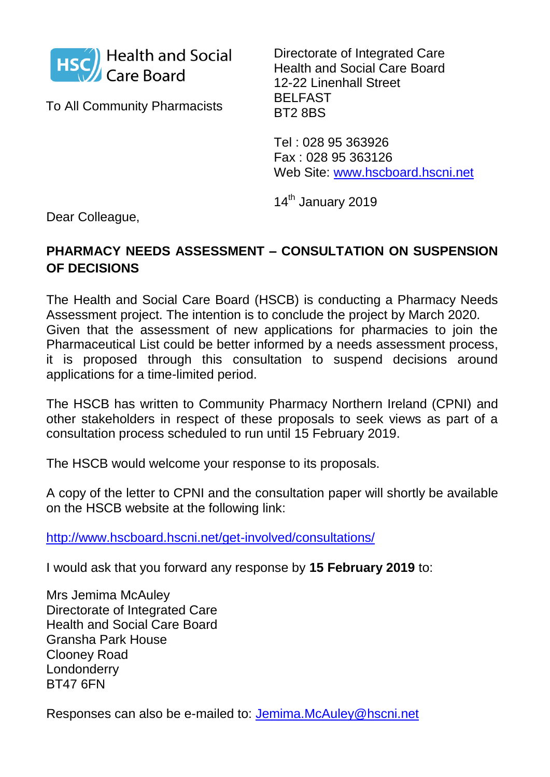

To All Community Pharmacists

Directorate of Integrated Care Health and Social Care Board 12-22 Linenhall Street BELFAST BT2 8BS

Tel : 028 95 363926 Fax : 028 95 363126 Web Site: [www.hscboard.hscni.net](http://www.hscboard.hscni.net/)

14<sup>th</sup> January 2019

Dear Colleague,

## **PHARMACY NEEDS ASSESSMENT – CONSULTATION ON SUSPENSION OF DECISIONS**

The Health and Social Care Board (HSCB) is conducting a Pharmacy Needs Assessment project. The intention is to conclude the project by March 2020. Given that the assessment of new applications for pharmacies to join the Pharmaceutical List could be better informed by a needs assessment process, it is proposed through this consultation to suspend decisions around applications for a time-limited period.

The HSCB has written to Community Pharmacy Northern Ireland (CPNI) and other stakeholders in respect of these proposals to seek views as part of a consultation process scheduled to run until 15 February 2019.

The HSCB would welcome your response to its proposals.

A copy of the letter to CPNI and the consultation paper will shortly be available on the HSCB website at the following link:

<http://www.hscboard.hscni.net/get-involved/consultations/>

I would ask that you forward any response by **15 February 2019** to:

Mrs Jemima McAuley Directorate of Integrated Care Health and Social Care Board Gransha Park House Clooney Road Londonderry BT47 6FN

Responses can also be e-mailed to: [Jemima.McAuley@hscni.net](mailto:Jemima.McAuley@hscni.net)